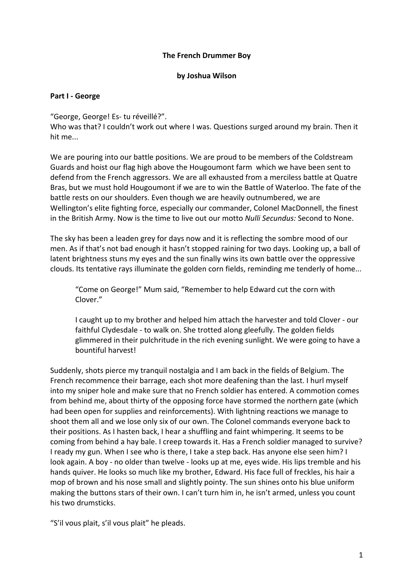### **The French Drummer Boy**

#### **by Joshua Wilson**

### **Part I - George**

"George, George! Es- tu réveillé?".

Who was that? I couldn't work out where I was. Questions surged around my brain. Then it hit me...

We are pouring into our battle positions. We are proud to be members of the Coldstream Guards and hoist our flag high above the Hougoumont farm which we have been sent to defend from the French aggressors. We are all exhausted from a merciless battle at Quatre Bras, but we must hold Hougoumont if we are to win the Battle of Waterloo. The fate of the battle rests on our shoulders. Even though we are heavily outnumbered, we are Wellington's elite fighting force, especially our commander, Colonel MacDonnell, the finest in the British Army. Now is the time to live out our motto *Nulli Secundus:* Second to None.

The sky has been a leaden grey for days now and it is reflecting the sombre mood of our men. As if that's not bad enough it hasn't stopped raining for two days. Looking up, a ball of latent brightness stuns my eyes and the sun finally wins its own battle over the oppressive clouds. Its tentative rays illuminate the golden corn fields, reminding me tenderly of home...

"Come on George!" Mum said, "Remember to help Edward cut the corn with Clover."

I caught up to my brother and helped him attach the harvester and told Clover - our faithful Clydesdale - to walk on. She trotted along gleefully. The golden fields glimmered in their pulchritude in the rich evening sunlight. We were going to have a bountiful harvest!

Suddenly, shots pierce my tranquil nostalgia and I am back in the fields of Belgium. The French recommence their barrage, each shot more deafening than the last. I hurl myself into my sniper hole and make sure that no French soldier has entered. A commotion comes from behind me, about thirty of the opposing force have stormed the northern gate (which had been open for supplies and reinforcements). With lightning reactions we manage to shoot them all and we lose only six of our own. The Colonel commands everyone back to their positions. As I hasten back, I hear a shuffling and faint whimpering. It seems to be coming from behind a hay bale. I creep towards it. Has a French soldier managed to survive? I ready my gun. When I see who is there, I take a step back. Has anyone else seen him? I look again. A boy - no older than twelve - looks up at me, eyes wide. His lips tremble and his hands quiver. He looks so much like my brother, Edward. His face full of freckles, his hair a mop of brown and his nose small and slightly pointy. The sun shines onto his blue uniform making the buttons stars of their own. I can't turn him in, he isn't armed, unless you count his two drumsticks.

"S'il vous plait, s'il vous plait" he pleads.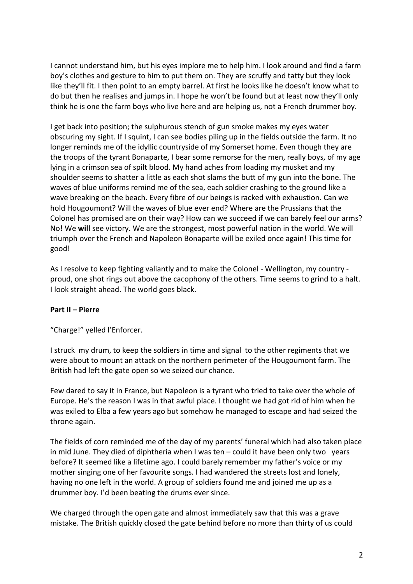I cannot understand him, but his eyes implore me to help him. I look around and find a farm boy's clothes and gesture to him to put them on. They are scruffy and tatty but they look like they'll fit. I then point to an empty barrel. At first he looks like he doesn't know what to do but then he realises and jumps in. I hope he won't be found but at least now they'll only think he is one the farm boys who live here and are helping us, not a French drummer boy.

I get back into position; the sulphurous stench of gun smoke makes my eyes water obscuring my sight. If I squint, I can see bodies piling up in the fields outside the farm. It no longer reminds me of the idyllic countryside of my Somerset home. Even though they are the troops of the tyrant Bonaparte, I bear some remorse for the men, really boys, of my age lying in a crimson sea of spilt blood. My hand aches from loading my musket and my shoulder seems to shatter a little as each shot slams the butt of my gun into the bone. The waves of blue uniforms remind me of the sea, each soldier crashing to the ground like a wave breaking on the beach. Every fibre of our beings is racked with exhaustion. Can we hold Hougoumont? Will the waves of blue ever end? Where are the Prussians that the Colonel has promised are on their way? How can we succeed if we can barely feel our arms? No! We **will** see victory. We are the strongest, most powerful nation in the world. We will triumph over the French and Napoleon Bonaparte will be exiled once again! This time for good!

As I resolve to keep fighting valiantly and to make the Colonel - Wellington, my country proud, one shot rings out above the cacophony of the others. Time seems to grind to a halt. I look straight ahead. The world goes black.

# **Part II – Pierre**

"Charge!" yelled l'Enforcer.

I struck my drum, to keep the soldiers in time and signal to the other regiments that we were about to mount an attack on the northern perimeter of the Hougoumont farm. The British had left the gate open so we seized our chance.

Few dared to say it in France, but Napoleon is a tyrant who tried to take over the whole of Europe. He's the reason I was in that awful place. I thought we had got rid of him when he was exiled to Elba a few years ago but somehow he managed to escape and had seized the throne again.

The fields of corn reminded me of the day of my parents' funeral which had also taken place in mid June. They died of diphtheria when I was ten – could it have been only two years before? It seemed like a lifetime ago. I could barely remember my father's voice or my mother singing one of her favourite songs. I had wandered the streets lost and lonely, having no one left in the world. A group of soldiers found me and joined me up as a drummer boy. I'd been beating the drums ever since.

We charged through the open gate and almost immediately saw that this was a grave mistake. The British quickly closed the gate behind before no more than thirty of us could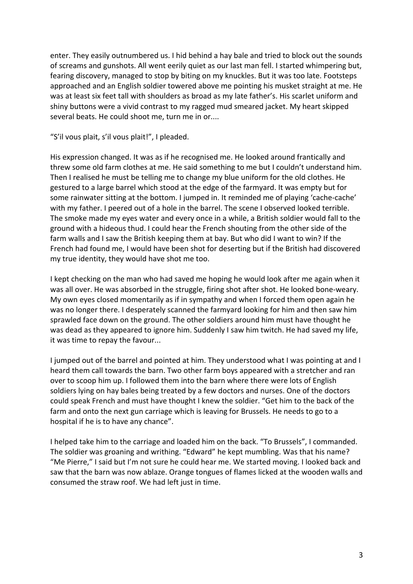enter. They easily outnumbered us. I hid behind a hay bale and tried to block out the sounds of screams and gunshots. All went eerily quiet as our last man fell. I started whimpering but, fearing discovery, managed to stop by biting on my knuckles. But it was too late. Footsteps approached and an English soldier towered above me pointing his musket straight at me. He was at least six feet tall with shoulders as broad as my late father's. His scarlet uniform and shiny buttons were a vivid contrast to my ragged mud smeared jacket. My heart skipped several beats. He could shoot me, turn me in or....

"S'il vous plait, s'il vous plait!", I pleaded.

His expression changed. It was as if he recognised me. He looked around frantically and threw some old farm clothes at me. He said something to me but I couldn't understand him. Then I realised he must be telling me to change my blue uniform for the old clothes. He gestured to a large barrel which stood at the edge of the farmyard. It was empty but for some rainwater sitting at the bottom. I jumped in. It reminded me of playing 'cache-cache' with my father. I peered out of a hole in the barrel. The scene I observed looked terrible. The smoke made my eyes water and every once in a while, a British soldier would fall to the ground with a hideous thud. I could hear the French shouting from the other side of the farm walls and I saw the British keeping them at bay. But who did I want to win? If the French had found me, I would have been shot for deserting but if the British had discovered my true identity, they would have shot me too.

I kept checking on the man who had saved me hoping he would look after me again when it was all over. He was absorbed in the struggle, firing shot after shot. He looked bone-weary. My own eyes closed momentarily as if in sympathy and when I forced them open again he was no longer there. I desperately scanned the farmyard looking for him and then saw him sprawled face down on the ground. The other soldiers around him must have thought he was dead as they appeared to ignore him. Suddenly I saw him twitch. He had saved my life, it was time to repay the favour...

I jumped out of the barrel and pointed at him. They understood what I was pointing at and I heard them call towards the barn. Two other farm boys appeared with a stretcher and ran over to scoop him up. I followed them into the barn where there were lots of English soldiers lying on hay bales being treated by a few doctors and nurses. One of the doctors could speak French and must have thought I knew the soldier. "Get him to the back of the farm and onto the next gun carriage which is leaving for Brussels. He needs to go to a hospital if he is to have any chance".

I helped take him to the carriage and loaded him on the back. "To Brussels", I commanded. The soldier was groaning and writhing. "Edward" he kept mumbling. Was that his name? "Me Pierre," I said but I'm not sure he could hear me. We started moving. I looked back and saw that the barn was now ablaze. Orange tongues of flames licked at the wooden walls and consumed the straw roof. We had left just in time.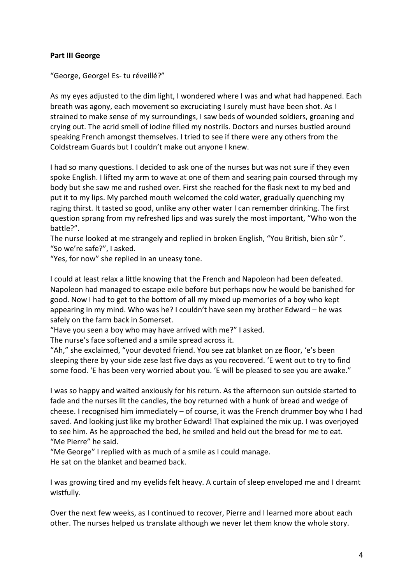## **Part III George**

"George, George! Es- tu réveillé?"

As my eyes adjusted to the dim light, I wondered where I was and what had happened. Each breath was agony, each movement so excruciating I surely must have been shot. As I strained to make sense of my surroundings, I saw beds of wounded soldiers, groaning and crying out. The acrid smell of iodine filled my nostrils. Doctors and nurses bustled around speaking French amongst themselves. I tried to see if there were any others from the Coldstream Guards but I couldn't make out anyone I knew.

I had so many questions. I decided to ask one of the nurses but was not sure if they even spoke English. I lifted my arm to wave at one of them and searing pain coursed through my body but she saw me and rushed over. First she reached for the flask next to my bed and put it to my lips. My parched mouth welcomed the cold water, gradually quenching my raging thirst. It tasted so good, unlike any other water I can remember drinking. The first question sprang from my refreshed lips and was surely the most important, "Who won the battle?".

The nurse looked at me strangely and replied in broken English, "You British, bien sûr ". "So we're safe?", I asked.

"Yes, for now" she replied in an uneasy tone.

I could at least relax a little knowing that the French and Napoleon had been defeated. Napoleon had managed to escape exile before but perhaps now he would be banished for good. Now I had to get to the bottom of all my mixed up memories of a boy who kept appearing in my mind. Who was he? I couldn't have seen my brother Edward – he was safely on the farm back in Somerset.

"Have you seen a boy who may have arrived with me?" I asked.

The nurse's face softened and a smile spread across it.

"Ah," she exclaimed, "your devoted friend. You see zat blanket on ze floor, 'e's been sleeping there by your side zese last five days as you recovered. 'E went out to try to find some food. 'E has been very worried about you. 'E will be pleased to see you are awake."

I was so happy and waited anxiously for his return. As the afternoon sun outside started to fade and the nurses lit the candles, the boy returned with a hunk of bread and wedge of cheese. I recognised him immediately – of course, it was the French drummer boy who I had saved. And looking just like my brother Edward! That explained the mix up. I was overjoyed to see him. As he approached the bed, he smiled and held out the bread for me to eat. "Me Pierre" he said.

"Me George" I replied with as much of a smile as I could manage. He sat on the blanket and beamed back.

I was growing tired and my eyelids felt heavy. A curtain of sleep enveloped me and I dreamt wistfully.

Over the next few weeks, as I continued to recover, Pierre and I learned more about each other. The nurses helped us translate although we never let them know the whole story.